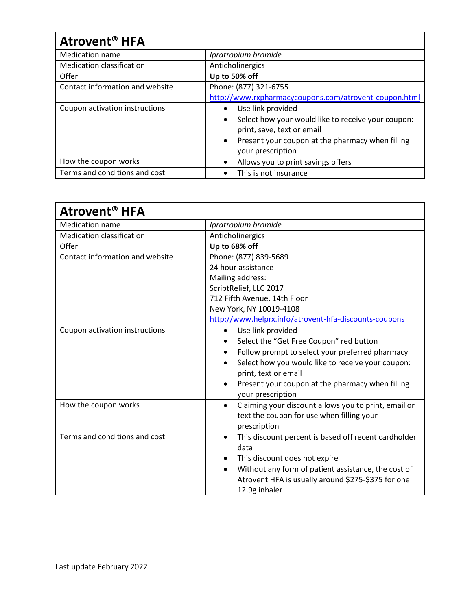| <b>Atrovent<sup>®</sup> HFA</b>  |                                                               |
|----------------------------------|---------------------------------------------------------------|
| <b>Medication name</b>           | Ipratropium bromide                                           |
| <b>Medication classification</b> | Anticholinergics                                              |
| Offer                            | Up to 50% off                                                 |
| Contact information and website  | Phone: (877) 321-6755                                         |
|                                  | http://www.rxpharmacycoupons.com/atrovent-coupon.html         |
| Coupon activation instructions   | Use link provided                                             |
|                                  | Select how your would like to receive your coupon:<br>٠       |
|                                  | print, save, text or email                                    |
|                                  | Present your coupon at the pharmacy when filling<br>$\bullet$ |
|                                  | your prescription                                             |
| How the coupon works             | Allows you to print savings offers<br>٠                       |
| Terms and conditions and cost    | This is not insurance                                         |

| Atrovent <sup>®</sup> HFA        |                                                                   |  |
|----------------------------------|-------------------------------------------------------------------|--|
| <b>Medication name</b>           | Ipratropium bromide                                               |  |
| <b>Medication classification</b> | Anticholinergics                                                  |  |
| Offer                            | Up to 68% off                                                     |  |
| Contact information and website  | Phone: (877) 839-5689                                             |  |
|                                  | 24 hour assistance                                                |  |
|                                  | Mailing address:                                                  |  |
|                                  | ScriptRelief, LLC 2017                                            |  |
|                                  | 712 Fifth Avenue, 14th Floor                                      |  |
|                                  | New York, NY 10019-4108                                           |  |
|                                  | http://www.helprx.info/atrovent-hfa-discounts-coupons             |  |
| Coupon activation instructions   | Use link provided<br>$\bullet$                                    |  |
|                                  | Select the "Get Free Coupon" red button<br>$\bullet$              |  |
|                                  | Follow prompt to select your preferred pharmacy<br>$\bullet$      |  |
|                                  | Select how you would like to receive your coupon:                 |  |
|                                  | print, text or email                                              |  |
|                                  | Present your coupon at the pharmacy when filling<br>$\bullet$     |  |
|                                  | your prescription                                                 |  |
| How the coupon works             | Claiming your discount allows you to print, email or<br>$\bullet$ |  |
|                                  | text the coupon for use when filling your                         |  |
|                                  | prescription                                                      |  |
| Terms and conditions and cost    | This discount percent is based off recent cardholder<br>$\bullet$ |  |
|                                  | data                                                              |  |
|                                  | This discount does not expire<br>$\bullet$                        |  |
|                                  | Without any form of patient assistance, the cost of<br>$\bullet$  |  |
|                                  | Atrovent HFA is usually around \$275-\$375 for one                |  |
|                                  | 12.9g inhaler                                                     |  |